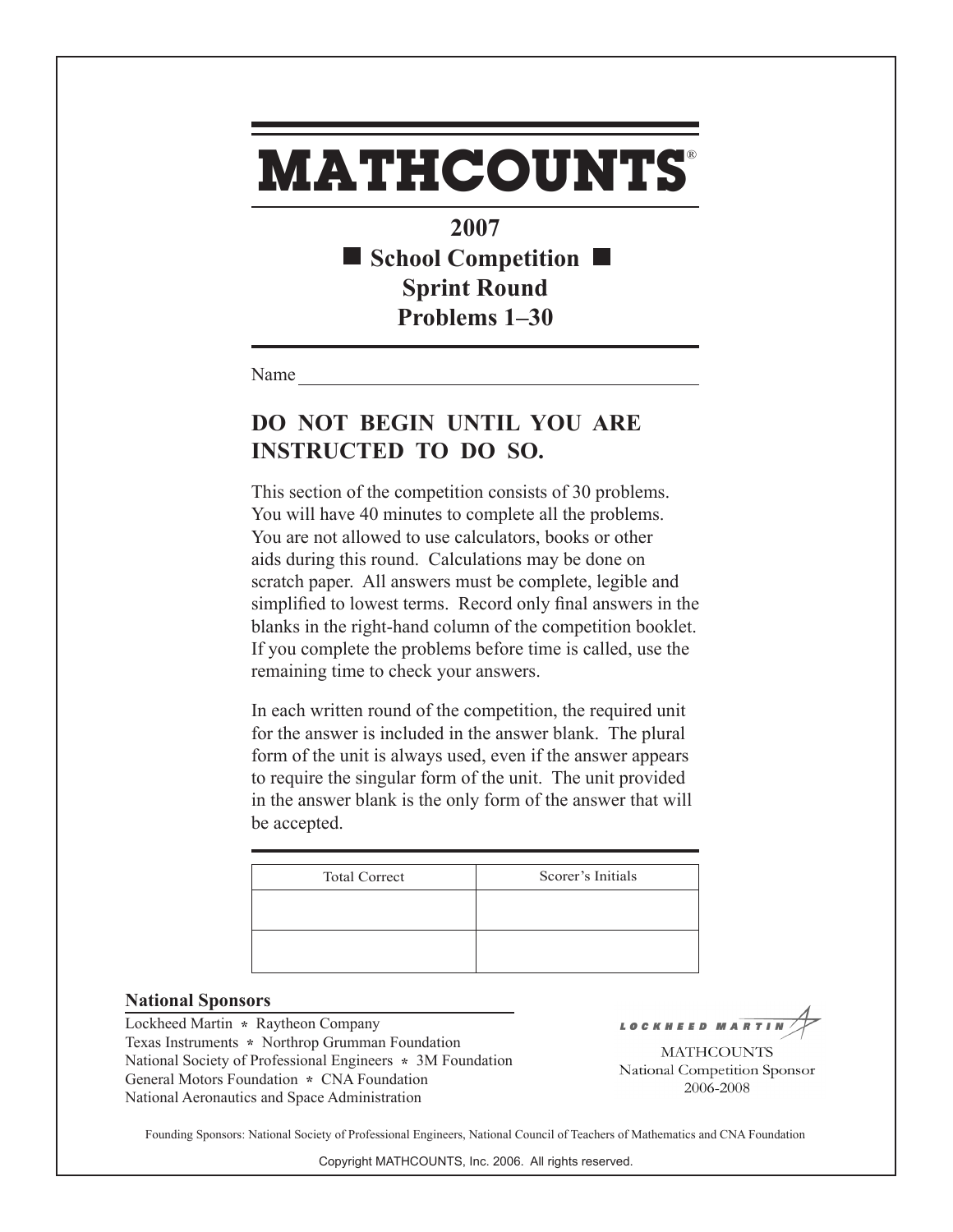## **MATHCOUNTS** ®

**2007** ■ School Competition ■ **Sprint Round Problems 1–30**

Name

## **DO NOT BEGIN UNTIL YOU ARE INSTRUCTED TO DO SO.**

This section of the competition consists of 30 problems. You will have 40 minutes to complete all the problems. You are not allowed to use calculators, books or other aids during this round. Calculations may be done on scratch paper. All answers must be complete, legible and simplified to lowest terms. Record only final answers in the blanks in the right-hand column of the competition booklet. If you complete the problems before time is called, use the remaining time to check your answers.

In each written round of the competition, the required unit for the answer is included in the answer blank. The plural form of the unit is always used, even if the answer appears to require the singular form of the unit. The unit provided in the answer blank is the only form of the answer that will be accepted.

| <b>Total Correct</b> | Scorer's Initials |
|----------------------|-------------------|
|                      |                   |
|                      |                   |

## **National Sponsors**

Lockheed Martin **\*** Raytheon Company Texas Instruments **\*** Northrop Grumman Foundation National Society of Professional Engineers **\*** 3M Foundation General Motors Foundation **\*** CNA Foundation National Aeronautics and Space Administration

LOCKHEED MART

**MATHCOUNTS** National Competition Sponsor 2006-2008

Founding Sponsors: National Society of Professional Engineers, National Council of Teachers of Mathematics and CNA Foundation

Copyright MATHCOUNTS, Inc. 2006. All rights reserved.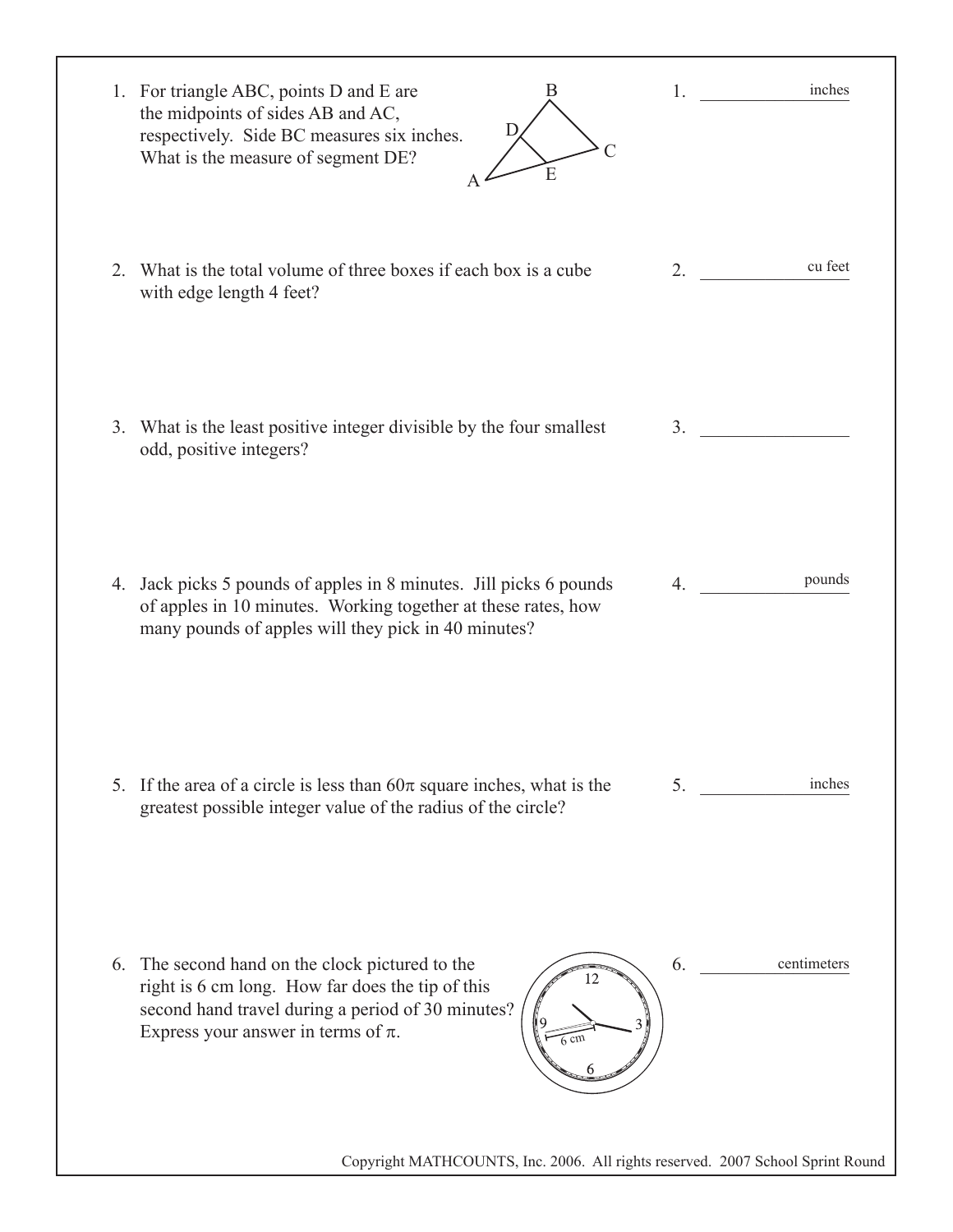| 1. For triangle ABC, points D and E are<br>the midpoints of sides AB and AC,<br>respectively. Side BC measures six inches.<br>What is the measure of segment DE? |                                                                                                                                                       | В<br>D.<br>E   | inches<br>1. $\qquad \qquad$                                                   |  |
|------------------------------------------------------------------------------------------------------------------------------------------------------------------|-------------------------------------------------------------------------------------------------------------------------------------------------------|----------------|--------------------------------------------------------------------------------|--|
| 2. What is the total volume of three boxes if each box is a cube<br>with edge length 4 feet?                                                                     |                                                                                                                                                       |                | cu feet<br>2.                                                                  |  |
| 3. What is the least positive integer divisible by the four smallest<br>odd, positive integers?                                                                  |                                                                                                                                                       |                | 3.                                                                             |  |
| 4. Jack picks 5 pounds of apples in 8 minutes. Jill picks 6 pounds                                                                                               | of apples in 10 minutes. Working together at these rates, how<br>many pounds of apples will they pick in 40 minutes?                                  |                | pounds<br>4.                                                                   |  |
| 5. If the area of a circle is less than $60\pi$ square inches, what is the                                                                                       | greatest possible integer value of the radius of the circle?                                                                                          |                | inches<br>5.                                                                   |  |
| 6.<br>Express your answer in terms of $\pi$ .                                                                                                                    | The second hand on the clock pictured to the<br>right is 6 cm long. How far does the tip of this<br>second hand travel during a period of 30 minutes? | $6 \text{ cm}$ | 6.<br>centimeters                                                              |  |
|                                                                                                                                                                  |                                                                                                                                                       |                | Copyright MATHCOUNTS, Inc. 2006. All rights reserved. 2007 School Sprint Round |  |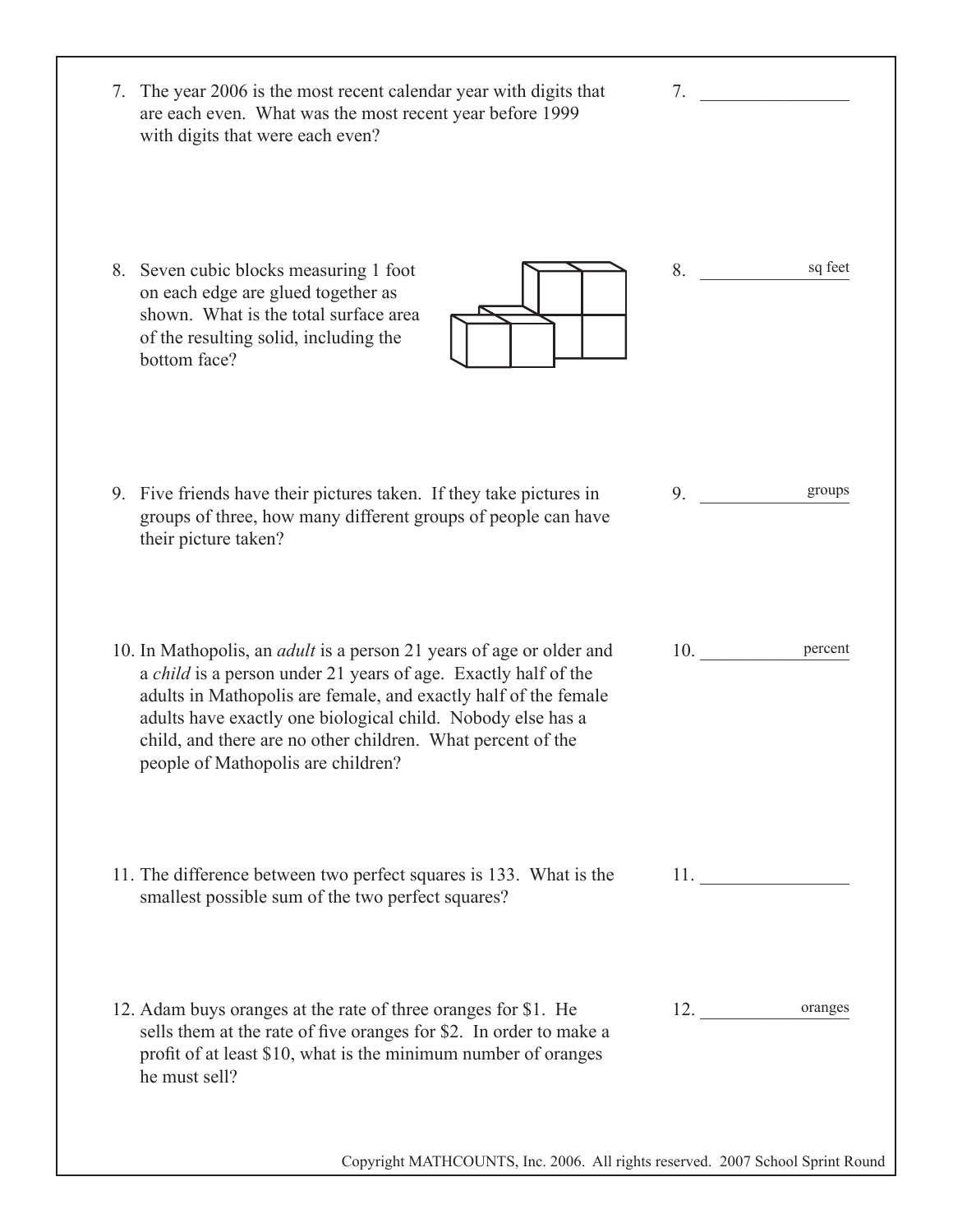| 7. The year 2006 is the most recent calendar year with digits that<br>are each even. What was the most recent year before 1999<br>with digits that were each even?                                                                                                                                                                                                                          | 7.             |
|---------------------------------------------------------------------------------------------------------------------------------------------------------------------------------------------------------------------------------------------------------------------------------------------------------------------------------------------------------------------------------------------|----------------|
| 8. Seven cubic blocks measuring 1 foot<br>on each edge are glued together as<br>shown. What is the total surface area<br>of the resulting solid, including the<br>bottom face?                                                                                                                                                                                                              | sq feet<br>8.  |
| 9. Five friends have their pictures taken. If they take pictures in<br>groups of three, how many different groups of people can have<br>their picture taken?                                                                                                                                                                                                                                | groups<br>9.   |
| 10. In Mathopolis, an <i>adult</i> is a person 21 years of age or older and<br>a <i>child</i> is a person under 21 years of age. Exactly half of the<br>adults in Mathopolis are female, and exactly half of the female<br>adults have exactly one biological child. Nobody else has a<br>child, and there are no other children. What percent of the<br>people of Mathopolis are children? | 10.<br>percent |
| 11. The difference between two perfect squares is 133. What is the<br>smallest possible sum of the two perfect squares?                                                                                                                                                                                                                                                                     | 11.            |
| 12. Adam buys oranges at the rate of three oranges for \$1. He<br>sells them at the rate of five oranges for \$2. In order to make a<br>profit of at least \$10, what is the minimum number of oranges<br>he must sell?                                                                                                                                                                     | 12. oranges    |
| Copyright MATHCOUNTS, Inc. 2006. All rights reserved. 2007 School Sprint Round                                                                                                                                                                                                                                                                                                              |                |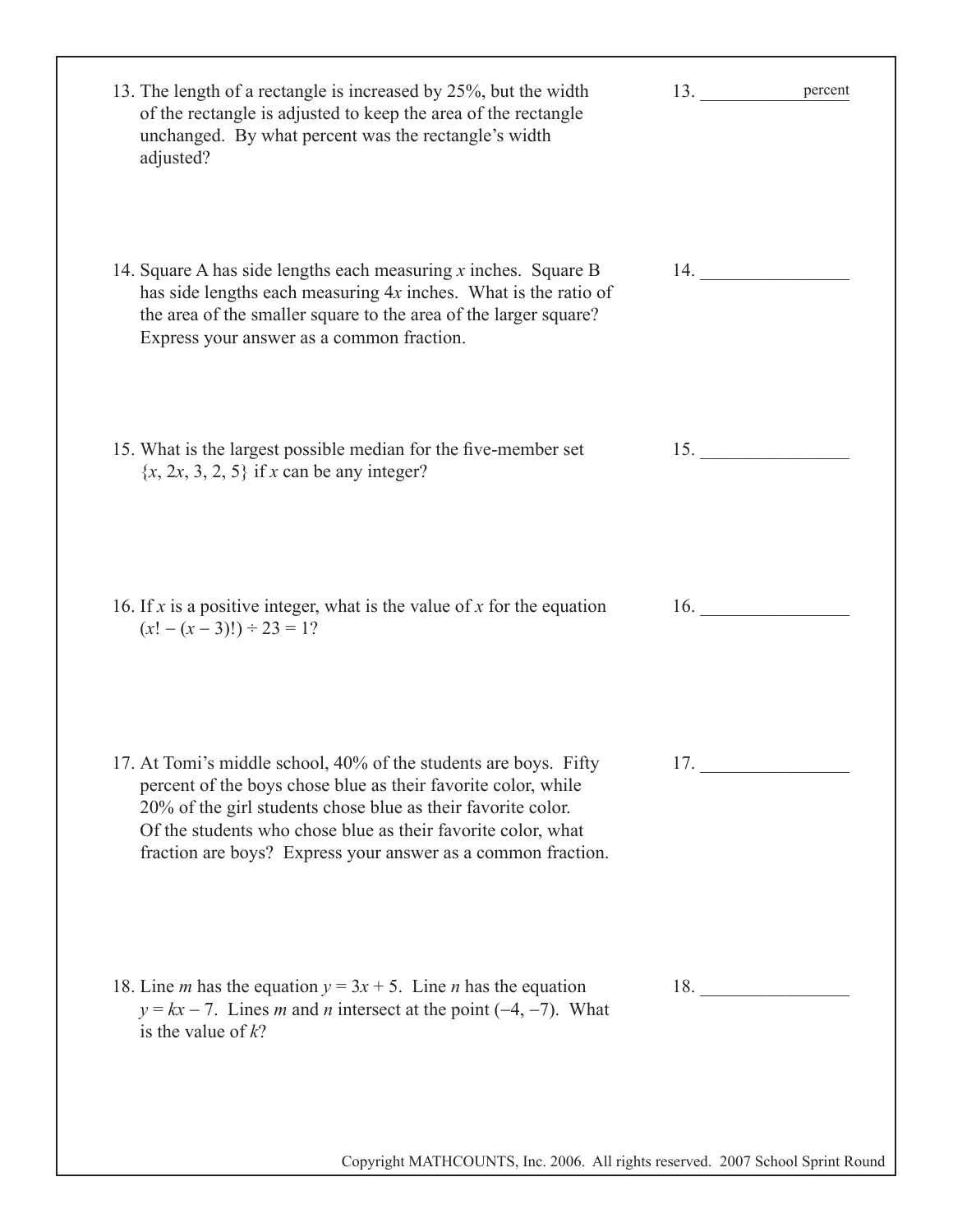| 13. The length of a rectangle is increased by 25%, but the width<br>of the rectangle is adjusted to keep the area of the rectangle<br>unchanged. By what percent was the rectangle's width<br>adjusted?                                                                                                                           | 13.<br>percent |
|-----------------------------------------------------------------------------------------------------------------------------------------------------------------------------------------------------------------------------------------------------------------------------------------------------------------------------------|----------------|
| 14. Square A has side lengths each measuring $x$ inches. Square B<br>has side lengths each measuring $4x$ inches. What is the ratio of<br>the area of the smaller square to the area of the larger square?<br>Express your answer as a common fraction.                                                                           | 14.            |
| 15. What is the largest possible median for the five-member set<br>$\{x, 2x, 3, 2, 5\}$ if x can be any integer?                                                                                                                                                                                                                  | 15.            |
| 16. If x is a positive integer, what is the value of x for the equation<br>$(x! - (x-3)!) \div 23 = 1?$                                                                                                                                                                                                                           | 16.            |
| 17. At Tomi's middle school, 40% of the students are boys. Fifty<br>percent of the boys chose blue as their favorite color, while<br>20% of the girl students chose blue as their favorite color.<br>Of the students who chose blue as their favorite color, what<br>fraction are boys? Express your answer as a common fraction. | 17.            |
| 18. Line <i>m</i> has the equation $y = 3x + 5$ . Line <i>n</i> has the equation<br>$y = kx - 7$ . Lines <i>m</i> and <i>n</i> intersect at the point (-4, -7). What<br>is the value of $k$ ?                                                                                                                                     | 18.            |
| Copyright MATHCOUNTS, Inc. 2006. All rights reserved. 2007 School Sprint Round                                                                                                                                                                                                                                                    |                |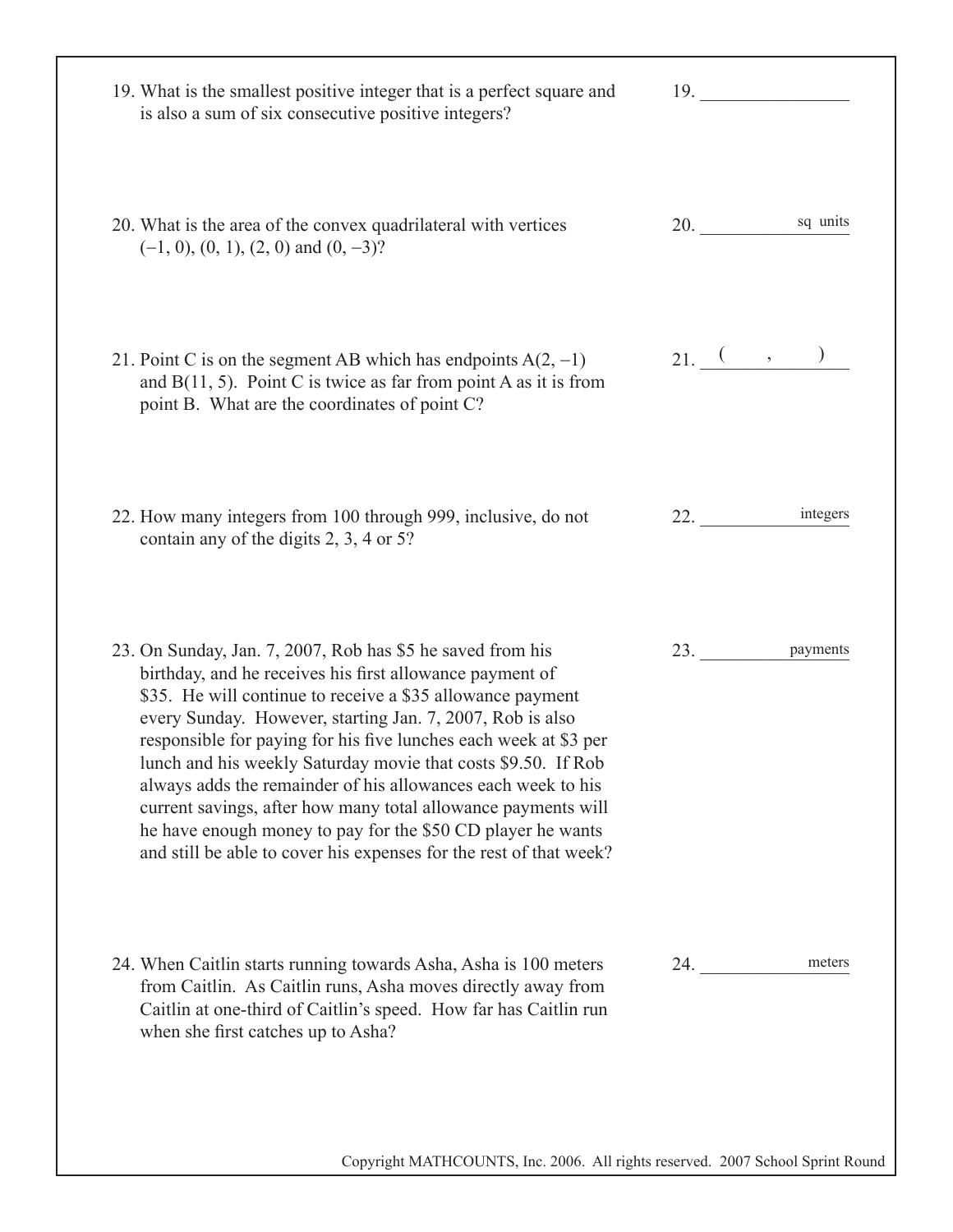| 19. What is the smallest positive integer that is a perfect square and<br>is also a sum of six consecutive positive integers?                                                                                                                                                                                                                                                                                                                                                                                                                                                                                                                                | 19.             |
|--------------------------------------------------------------------------------------------------------------------------------------------------------------------------------------------------------------------------------------------------------------------------------------------------------------------------------------------------------------------------------------------------------------------------------------------------------------------------------------------------------------------------------------------------------------------------------------------------------------------------------------------------------------|-----------------|
| 20. What is the area of the convex quadrilateral with vertices<br>$(-1, 0), (0, 1), (2, 0)$ and $(0, -3)$ ?                                                                                                                                                                                                                                                                                                                                                                                                                                                                                                                                                  | sq units<br>20. |
| 21. Point C is on the segment AB which has endpoints $A(2, -1)$<br>and $B(11, 5)$ . Point C is twice as far from point A as it is from<br>point B. What are the coordinates of point C?                                                                                                                                                                                                                                                                                                                                                                                                                                                                      | $21. ($ , $)$   |
| 22. How many integers from 100 through 999, inclusive, do not<br>contain any of the digits 2, 3, 4 or 5?                                                                                                                                                                                                                                                                                                                                                                                                                                                                                                                                                     | integers<br>22. |
| 23. On Sunday, Jan. 7, 2007, Rob has \$5 he saved from his<br>birthday, and he receives his first allowance payment of<br>\$35. He will continue to receive a \$35 allowance payment<br>every Sunday. However, starting Jan. 7, 2007, Rob is also<br>responsible for paying for his five lunches each week at \$3 per<br>lunch and his weekly Saturday movie that costs \$9.50. If Rob<br>always adds the remainder of his allowances each week to his<br>current savings, after how many total allowance payments will<br>he have enough money to pay for the \$50 CD player he wants<br>and still be able to cover his expenses for the rest of that week? | payments        |
| 24. When Caitlin starts running towards Asha, Asha is 100 meters<br>from Caitlin. As Caitlin runs, Asha moves directly away from<br>Caitlin at one-third of Caitlin's speed. How far has Caitlin run<br>when she first catches up to Asha?                                                                                                                                                                                                                                                                                                                                                                                                                   | meters<br>24.   |
| Copyright MATHCOUNTS, Inc. 2006. All rights reserved. 2007 School Sprint Round                                                                                                                                                                                                                                                                                                                                                                                                                                                                                                                                                                               |                 |